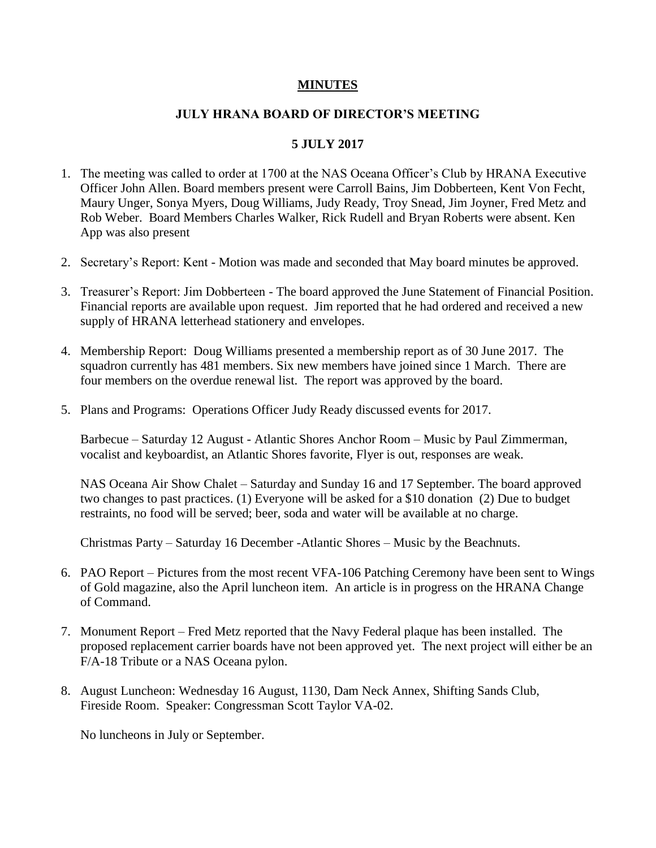## **MINUTES**

## **JULY HRANA BOARD OF DIRECTOR'S MEETING**

## **5 JULY 2017**

- 1. The meeting was called to order at 1700 at the NAS Oceana Officer's Club by HRANA Executive Officer John Allen. Board members present were Carroll Bains, Jim Dobberteen, Kent Von Fecht, Maury Unger, Sonya Myers, Doug Williams, Judy Ready, Troy Snead, Jim Joyner, Fred Metz and Rob Weber. Board Members Charles Walker, Rick Rudell and Bryan Roberts were absent. Ken App was also present
- 2. Secretary's Report: Kent Motion was made and seconded that May board minutes be approved.
- 3. Treasurer's Report: Jim Dobberteen The board approved the June Statement of Financial Position. Financial reports are available upon request. Jim reported that he had ordered and received a new supply of HRANA letterhead stationery and envelopes.
- 4. Membership Report: Doug Williams presented a membership report as of 30 June 2017. The squadron currently has 481 members. Six new members have joined since 1 March. There are four members on the overdue renewal list. The report was approved by the board.
- 5. Plans and Programs: Operations Officer Judy Ready discussed events for 2017.

Barbecue – Saturday 12 August - Atlantic Shores Anchor Room – Music by Paul Zimmerman, vocalist and keyboardist, an Atlantic Shores favorite, Flyer is out, responses are weak.

NAS Oceana Air Show Chalet – Saturday and Sunday 16 and 17 September. The board approved two changes to past practices. (1) Everyone will be asked for a \$10 donation (2) Due to budget restraints, no food will be served; beer, soda and water will be available at no charge.

Christmas Party – Saturday 16 December -Atlantic Shores – Music by the Beachnuts.

- 6. PAO Report Pictures from the most recent VFA-106 Patching Ceremony have been sent to Wings of Gold magazine, also the April luncheon item. An article is in progress on the HRANA Change of Command.
- 7. Monument Report Fred Metz reported that the Navy Federal plaque has been installed. The proposed replacement carrier boards have not been approved yet. The next project will either be an F/A-18 Tribute or a NAS Oceana pylon.
- 8. August Luncheon: Wednesday 16 August, 1130, Dam Neck Annex, Shifting Sands Club, Fireside Room. Speaker: Congressman Scott Taylor VA-02.

No luncheons in July or September.